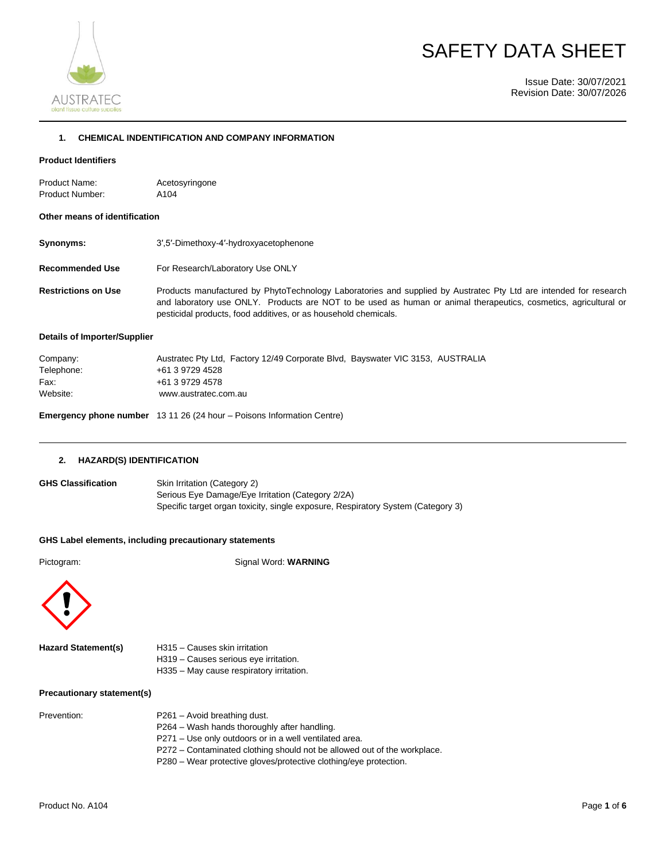

# SAFETY DATA SHEET

Issue Date: 30/07/2021 Revision Date: 30/07/2026

# **1. CHEMICAL INDENTIFICATION AND COMPANY INFORMATION**

# **Product Identifiers**

| Product Name:          | Acetosyringone |
|------------------------|----------------|
| <b>Product Number:</b> | A104           |

#### **Other means of identification**

| Synonyms:                  | 3',5'-Dimethoxy-4'-hydroxyacetophenone                                                                                                                                                                                                                                                                   |
|----------------------------|----------------------------------------------------------------------------------------------------------------------------------------------------------------------------------------------------------------------------------------------------------------------------------------------------------|
| <b>Recommended Use</b>     | For Research/Laboratory Use ONLY                                                                                                                                                                                                                                                                         |
| <b>Restrictions on Use</b> | Products manufactured by PhytoTechnology Laboratories and supplied by Austratec Pty Ltd are intended for research<br>and laboratory use ONLY. Products are NOT to be used as human or animal therapeutics, cosmetics, agricultural or<br>pesticidal products, food additives, or as household chemicals. |

#### **Details of Importer/Supplier**

| Company:   | Austratec Pty Ltd, Factory 12/49 Corporate Blvd, Bayswater VIC 3153, AUSTRALIA |
|------------|--------------------------------------------------------------------------------|
| Telephone: | +61 3 9729 4528                                                                |
| Fax:       | +61 3 9729 4578                                                                |
| Website:   | www.austratec.com.au                                                           |
|            |                                                                                |

#### **Emergency phone number** 13 11 26 (24 hour – Poisons Information Centre)

# **2. HAZARD(S) IDENTIFICATION**

**GHS Classification** Skin Irritation (Category 2) Serious Eye Damage/Eye Irritation (Category 2/2A) Specific target organ toxicity, single exposure, Respiratory System (Category 3)

#### **GHS Label elements, including precautionary statements**

Pictogram: Signal Word: **WARNING** 



| <b>Hazard Statement(s)</b> | H315 - Causes skin irritation            |
|----------------------------|------------------------------------------|
|                            | H319 - Causes serious eye irritation.    |
|                            | H335 – May cause respiratory irritation. |

#### **Precautionary statement(s)**

| P261 – Avoid breathing dust.                                             |
|--------------------------------------------------------------------------|
| P264 – Wash hands thoroughly after handling.                             |
| P271 – Use only outdoors or in a well ventilated area.                   |
| P272 – Contaminated clothing should not be allowed out of the workplace. |
| P280 – Wear protective gloves/protective clothing/eye protection.        |
|                                                                          |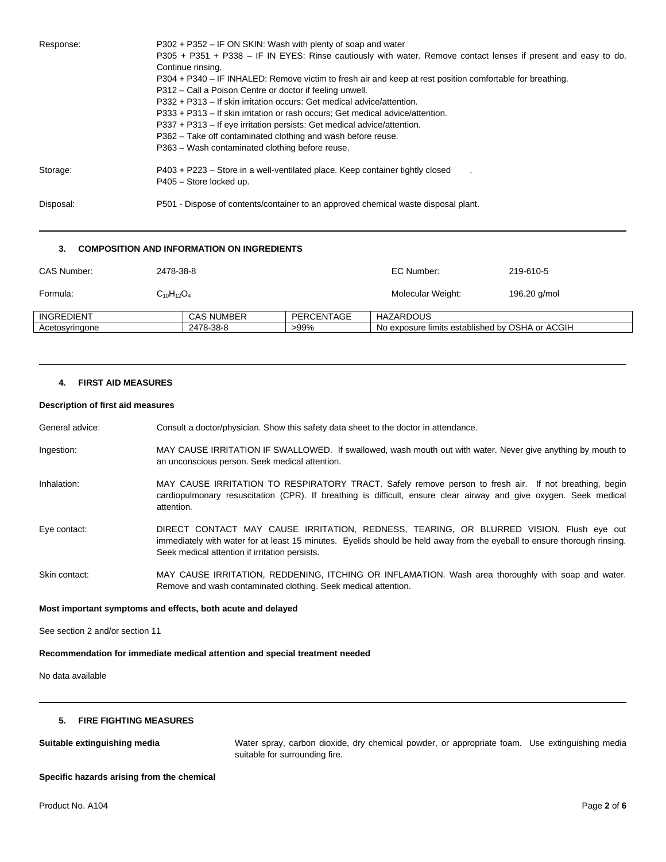| Response: | P302 + P352 – IF ON SKIN: Wash with plenty of soap and water<br>P305 + P351 + P338 - IF IN EYES: Rinse cautiously with water. Remove contact lenses if present and easy to do.<br>Continue rinsing.<br>P304 + P340 – IF INHALED: Remove victim to fresh air and keep at rest position comfortable for breathing.<br>P312 - Call a Poison Centre or doctor if feeling unwell.<br>P332 + P313 – If skin irritation occurs: Get medical advice/attention.<br>P333 + P313 - If skin irritation or rash occurs; Get medical advice/attention.<br>P337 + P313 - If eye irritation persists: Get medical advice/attention.<br>P362 – Take off contaminated clothing and wash before reuse.<br>P363 - Wash contaminated clothing before reuse. |
|-----------|----------------------------------------------------------------------------------------------------------------------------------------------------------------------------------------------------------------------------------------------------------------------------------------------------------------------------------------------------------------------------------------------------------------------------------------------------------------------------------------------------------------------------------------------------------------------------------------------------------------------------------------------------------------------------------------------------------------------------------------|
| Storage:  | P403 + P223 – Store in a well-ventilated place. Keep container tightly closed<br>P405 - Store locked up.                                                                                                                                                                                                                                                                                                                                                                                                                                                                                                                                                                                                                               |
| Disposal: | P501 - Dispose of contents/container to an approved chemical waste disposal plant.                                                                                                                                                                                                                                                                                                                                                                                                                                                                                                                                                                                                                                                     |

#### **3. COMPOSITION AND INFORMATION ON INGREDIENTS**

| CAS Number:       | 2478-38-8         |            | EC Number:                                      | 219-610-5    |
|-------------------|-------------------|------------|-------------------------------------------------|--------------|
| Formula:          | $C_{10}H_{12}O_4$ |            | Molecular Weight:                               | 196.20 g/mol |
| <b>INGREDIENT</b> | <b>CAS NUMBER</b> | PERCENTAGE | <b>HAZARDOUS</b>                                |              |
| Acetosyringone    | 2478-38-8         | >99%       | No exposure limits established by OSHA or ACGIH |              |
|                   |                   |            |                                                 |              |

## **4. FIRST AID MEASURES**

#### **Description of first aid measures**

- General advice: Consult a doctor/physician. Show this safety data sheet to the doctor in attendance.
- Ingestion: MAY CAUSE IRRITATION IF SWALLOWED. If swallowed, wash mouth out with water. Never give anything by mouth to an unconscious person. Seek medical attention.
- Inhalation: MAY CAUSE IRRITATION TO RESPIRATORY TRACT. Safely remove person to fresh air. If not breathing, begin cardiopulmonary resuscitation (CPR). If breathing is difficult, ensure clear airway and give oxygen. Seek medical attention.
- Eye contact: DIRECT CONTACT MAY CAUSE IRRITATION, REDNESS, TEARING, OR BLURRED VISION. Flush eye out immediately with water for at least 15 minutes. Eyelids should be held away from the eyeball to ensure thorough rinsing. Seek medical attention if irritation persists.
- Skin contact: MAY CAUSE IRRITATION, REDDENING, ITCHING OR INFLAMATION. Wash area thoroughly with soap and water. Remove and wash contaminated clothing. Seek medical attention.

#### **Most important symptoms and effects, both acute and delayed**

See section 2 and/or section 11

#### **Recommendation for immediate medical attention and special treatment needed**

No data available

#### **5. FIRE FIGHTING MEASURES**

**Suitable extinguishing media** Water spray, carbon dioxide, dry chemical powder, or appropriate foam. Use extinguishing media suitable for surrounding fire.

#### **Specific hazards arising from the chemical**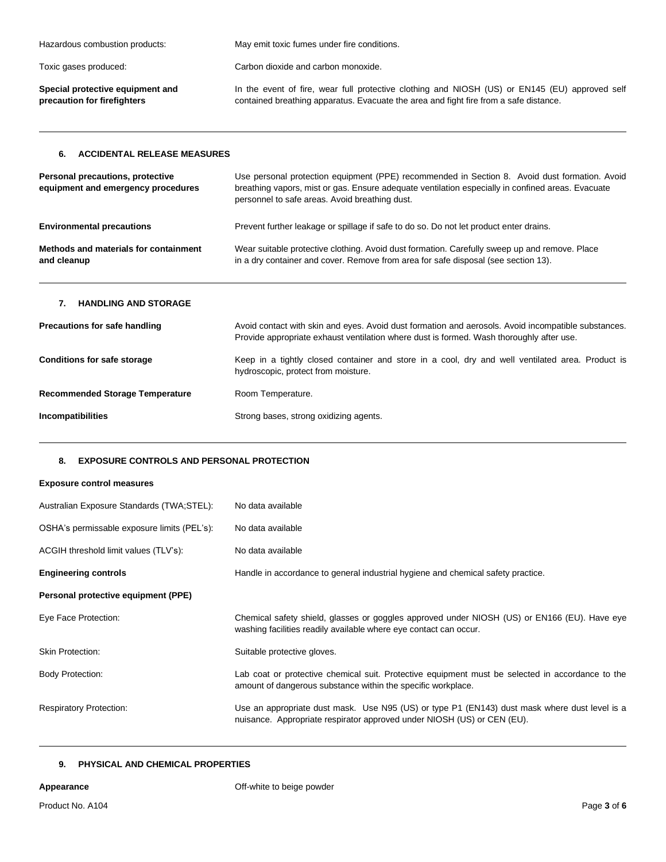Hazardous combustion products: May emit toxic fumes under fire conditions. Toxic gases produced: Carbon dioxide and carbon monoxide. Special protective equipment and **In the event of fire, wear full protective clothing and NIOSH (US) or EN145 (EU) approved self precaution for firefighters** contained breathing apparatus. Evacuate the area and fight fire from a safe distance.

# **6. ACCIDENTAL RELEASE MEASURES**

| Personal precautions, protective<br>equipment and emergency procedures | Use personal protection equipment (PPE) recommended in Section 8. Avoid dust formation. Avoid<br>breathing vapors, mist or gas. Ensure adequate ventilation especially in confined areas. Evacuate<br>personnel to safe areas. Avoid breathing dust. |
|------------------------------------------------------------------------|------------------------------------------------------------------------------------------------------------------------------------------------------------------------------------------------------------------------------------------------------|
| <b>Environmental precautions</b>                                       | Prevent further leakage or spillage if safe to do so. Do not let product enter drains.                                                                                                                                                               |
| Methods and materials for containment<br>and cleanup                   | Wear suitable protective clothing. Avoid dust formation. Carefully sweep up and remove. Place<br>in a dry container and cover. Remove from area for safe disposal (see section 13).                                                                  |
| <b>HANDLING AND STORAGE</b><br>7.                                      |                                                                                                                                                                                                                                                      |
| Precautions for safe handling                                          | Avoid contact with skin and eyes. Avoid dust formation and aerosols. Avoid incompatible substances.<br>Provide appropriate exhaust ventilation where dust is formed. Wash thoroughly after use.                                                      |
| <b>Conditions for safe storage</b>                                     | Keep in a tightly closed container and store in a cool, dry and well ventilated area. Product is<br>hydroscopic, protect from moisture.                                                                                                              |
| <b>Recommended Storage Temperature</b>                                 | Room Temperature.                                                                                                                                                                                                                                    |

# **8. EXPOSURE CONTROLS AND PERSONAL PROTECTION**

**Incompatibilities Incompatibilities** Strong bases, strong oxidizing agents.

| <b>Exposure control measures</b>            |                                                                                                                                                                          |
|---------------------------------------------|--------------------------------------------------------------------------------------------------------------------------------------------------------------------------|
| Australian Exposure Standards (TWA:STEL):   | No data available                                                                                                                                                        |
| OSHA's permissable exposure limits (PEL's): | No data available                                                                                                                                                        |
| ACGIH threshold limit values (TLV's):       | No data available                                                                                                                                                        |
| <b>Engineering controls</b>                 | Handle in accordance to general industrial hygiene and chemical safety practice.                                                                                         |
| Personal protective equipment (PPE)         |                                                                                                                                                                          |
| Eye Face Protection:                        | Chemical safety shield, glasses or goggles approved under NIOSH (US) or EN166 (EU). Have eye<br>washing facilities readily available where eye contact can occur.        |
| <b>Skin Protection:</b>                     | Suitable protective gloves.                                                                                                                                              |
| <b>Body Protection:</b>                     | Lab coat or protective chemical suit. Protective equipment must be selected in accordance to the<br>amount of dangerous substance within the specific workplace.         |
| <b>Respiratory Protection:</b>              | Use an appropriate dust mask. Use N95 (US) or type P1 (EN143) dust mask where dust level is a<br>nuisance. Appropriate respirator approved under NIOSH (US) or CEN (EU). |

#### **9. PHYSICAL AND CHEMICAL PROPERTIES**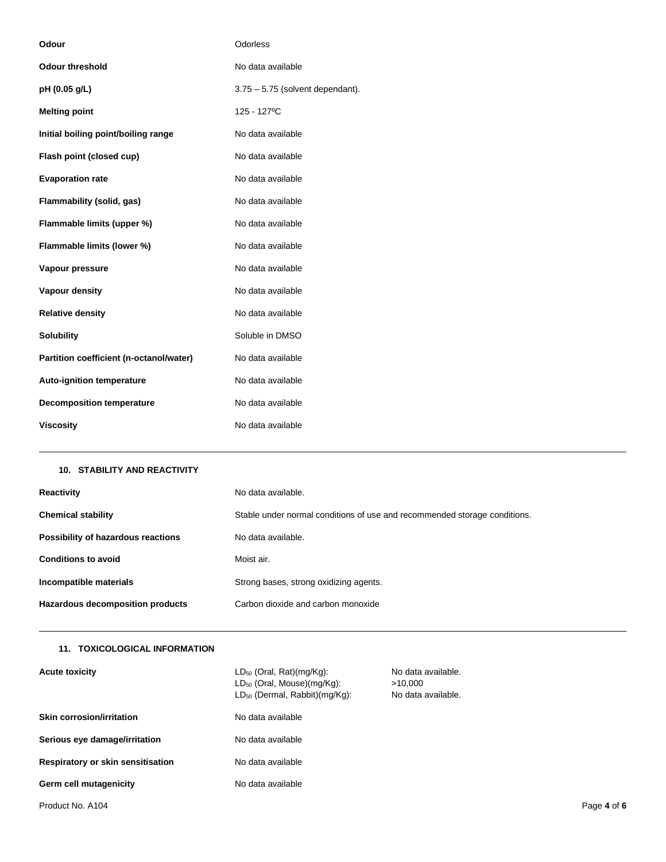| Odour                                   | Odorless                         |
|-----------------------------------------|----------------------------------|
| <b>Odour threshold</b>                  | No data available                |
| pH (0.05 g/L)                           | 3.75 - 5.75 (solvent dependant). |
| <b>Melting point</b>                    | 125 - 127°C                      |
| Initial boiling point/boiling range     | No data available                |
| Flash point (closed cup)                | No data available                |
| <b>Evaporation rate</b>                 | No data available                |
| Flammability (solid, gas)               | No data available                |
| Flammable limits (upper %)              | No data available                |
| Flammable limits (lower %)              | No data available                |
| Vapour pressure                         | No data available                |
| Vapour density                          | No data available                |
| <b>Relative density</b>                 | No data available                |
| <b>Solubility</b>                       | Soluble in DMSO                  |
| Partition coefficient (n-octanol/water) | No data available                |
| <b>Auto-ignition temperature</b>        | No data available                |
| <b>Decomposition temperature</b>        | No data available                |
| <b>Viscosity</b>                        | No data available                |
|                                         |                                  |

# **10. STABILITY AND REACTIVITY**

| <b>Reactivity</b>                  | No data available.                                                        |
|------------------------------------|---------------------------------------------------------------------------|
| <b>Chemical stability</b>          | Stable under normal conditions of use and recommended storage conditions. |
| Possibility of hazardous reactions | No data available.                                                        |
| <b>Conditions to avoid</b>         | Moist air.                                                                |
| Incompatible materials             | Strong bases, strong oxidizing agents.                                    |
| Hazardous decomposition products   | Carbon dioxide and carbon monoxide                                        |

# **11. TOXICOLOGICAL INFORMATION**

| <b>Acute toxicity</b>             | $LD_{50}$ (Oral, Rat)(mg/Kg):<br>$LD_{50}$ (Oral, Mouse)(mg/Kg):<br>$LD_{50}$ (Dermal, Rabbit)(mg/Kg): | No data available.<br>>10.000<br>No data available. |
|-----------------------------------|--------------------------------------------------------------------------------------------------------|-----------------------------------------------------|
| <b>Skin corrosion/irritation</b>  | No data available                                                                                      |                                                     |
| Serious eye damage/irritation     | No data available                                                                                      |                                                     |
| Respiratory or skin sensitisation | No data available                                                                                      |                                                     |
| Germ cell mutagenicity            | No data available                                                                                      |                                                     |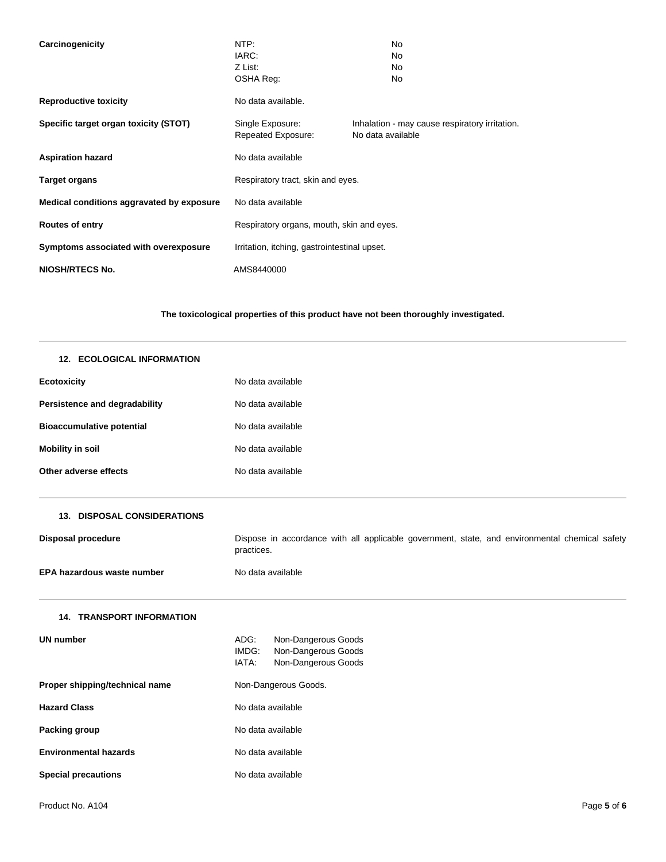| Carcinogenicity                           | NTP:                                         | <b>No</b>                                                           |  |
|-------------------------------------------|----------------------------------------------|---------------------------------------------------------------------|--|
|                                           | IARC:                                        | No                                                                  |  |
|                                           | Z List:                                      | No                                                                  |  |
|                                           | OSHA Reg:                                    | No                                                                  |  |
| <b>Reproductive toxicity</b>              | No data available.                           |                                                                     |  |
| Specific target organ toxicity (STOT)     | Single Exposure:<br>Repeated Exposure:       | Inhalation - may cause respiratory irritation.<br>No data available |  |
| <b>Aspiration hazard</b>                  | No data available                            |                                                                     |  |
| <b>Target organs</b>                      | Respiratory tract, skin and eyes.            |                                                                     |  |
| Medical conditions aggravated by exposure | No data available                            |                                                                     |  |
| Routes of entry                           | Respiratory organs, mouth, skin and eyes.    |                                                                     |  |
| Symptoms associated with overexposure     | Irritation, itching, gastrointestinal upset. |                                                                     |  |
| <b>NIOSH/RTECS No.</b>                    | AMS8440000                                   |                                                                     |  |
|                                           |                                              |                                                                     |  |

**The toxicological properties of this product have not been thoroughly investigated.**

# **12. ECOLOGICAL INFORMATION**

| <b>Ecotoxicity</b>               | No data available |
|----------------------------------|-------------------|
| Persistence and degradability    | No data available |
| <b>Bioaccumulative potential</b> | No data available |
| <b>Mobility in soil</b>          | No data available |
| Other adverse effects            | No data available |

| <b>DISPOSAL CONSIDERATIONS</b><br>13. |                                                                                                              |  |  |
|---------------------------------------|--------------------------------------------------------------------------------------------------------------|--|--|
| <b>Disposal procedure</b>             | Dispose in accordance with all applicable government, state, and environmental chemical safety<br>practices. |  |  |
| EPA hazardous waste number            | No data available                                                                                            |  |  |
| <b>14. TRANSPORT INFORMATION</b>      |                                                                                                              |  |  |
| <b>UN number</b>                      | ADG:<br>Non-Dangerous Goods<br>Non-Dangerous Goods<br>IMDG:<br>Non-Dangerous Goods<br>IATA:                  |  |  |
| Proper shipping/technical name        | Non-Dangerous Goods.                                                                                         |  |  |
| <b>Hazard Class</b>                   | No data available                                                                                            |  |  |
| Packing group                         | No data available                                                                                            |  |  |
| <b>Environmental hazards</b>          | No data available                                                                                            |  |  |
| <b>Special precautions</b>            | No data available                                                                                            |  |  |